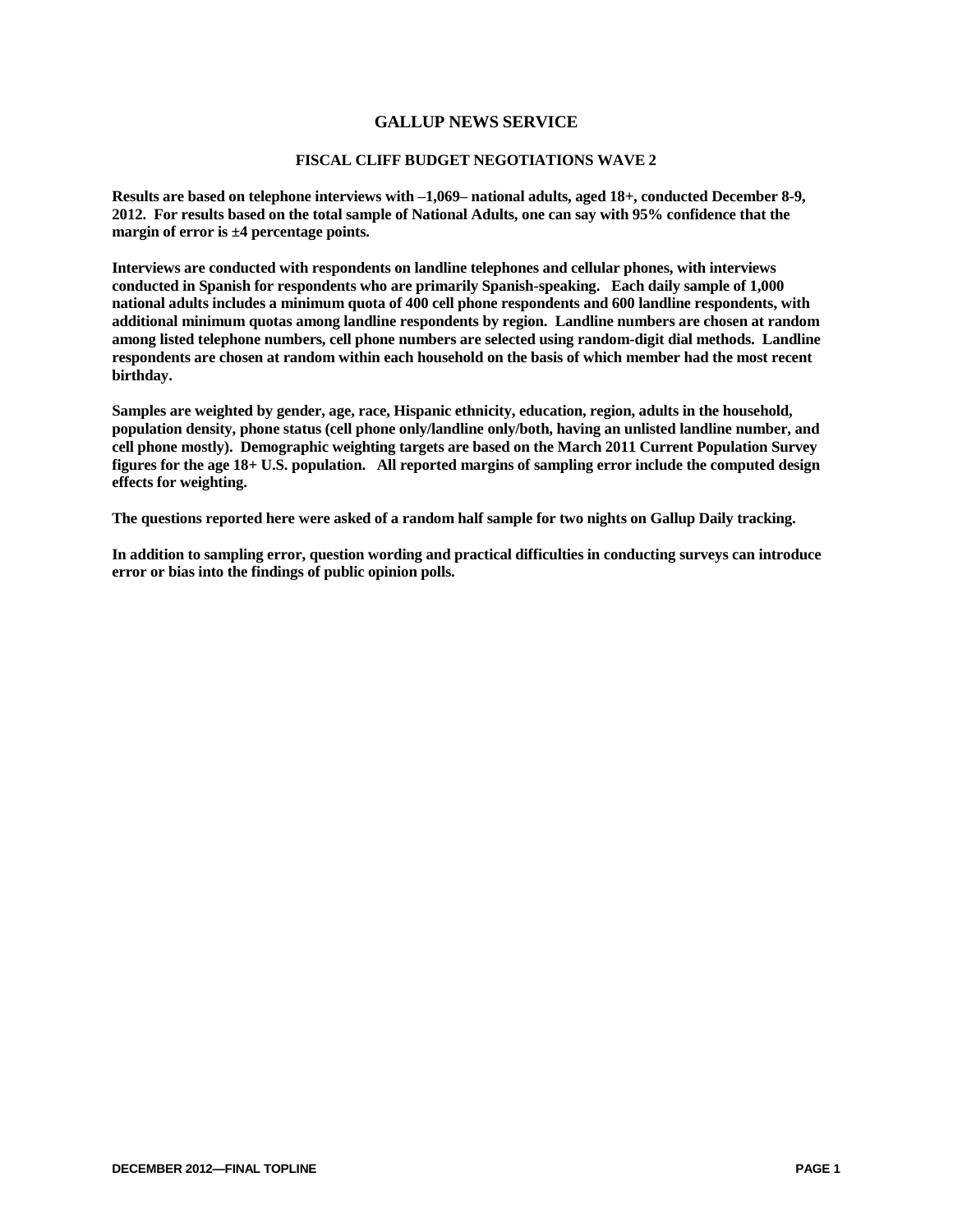## **GALLUP NEWS SERVICE**

## **FISCAL CLIFF BUDGET NEGOTIATIONS WAVE 2**

**Results are based on telephone interviews with –1,069– national adults, aged 18+, conducted December 8-9, 2012. For results based on the total sample of National Adults, one can say with 95% confidence that the margin of error is ±4 percentage points.**

**Interviews are conducted with respondents on landline telephones and cellular phones, with interviews conducted in Spanish for respondents who are primarily Spanish-speaking. Each daily sample of 1,000 national adults includes a minimum quota of 400 cell phone respondents and 600 landline respondents, with additional minimum quotas among landline respondents by region. Landline numbers are chosen at random among listed telephone numbers, cell phone numbers are selected using random-digit dial methods. Landline respondents are chosen at random within each household on the basis of which member had the most recent birthday.** 

**Samples are weighted by gender, age, race, Hispanic ethnicity, education, region, adults in the household, population density, phone status (cell phone only/landline only/both, having an unlisted landline number, and cell phone mostly). Demographic weighting targets are based on the March 2011 Current Population Survey figures for the age 18+ U.S. population. All reported margins of sampling error include the computed design effects for weighting.** 

**The questions reported here were asked of a random half sample for two nights on Gallup Daily tracking.** 

**In addition to sampling error, question wording and practical difficulties in conducting surveys can introduce error or bias into the findings of public opinion polls.**